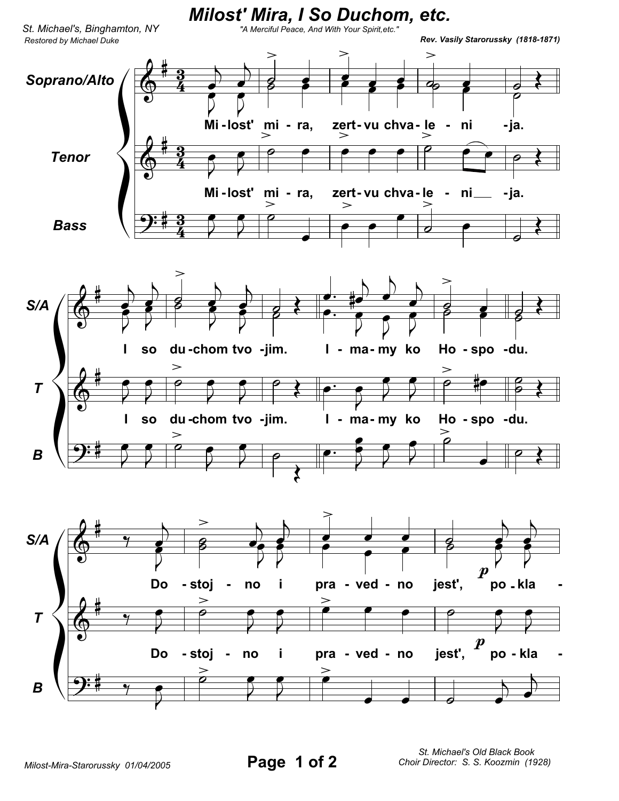